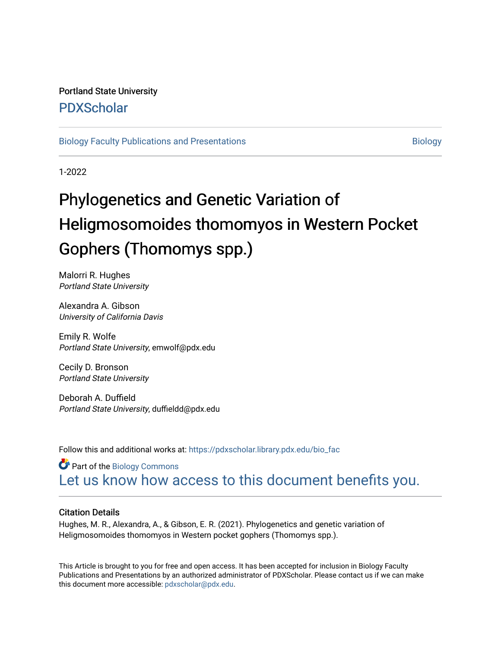## Portland State University [PDXScholar](https://pdxscholar.library.pdx.edu/)

#### [Biology Faculty Publications and Presentations](https://pdxscholar.library.pdx.edu/bio_fac) [Biology](https://pdxscholar.library.pdx.edu/bio) Biology

1-2022

# Phylogenetics and Genetic Variation of Heligmosomoides thomomyos in Western Pocket Gophers (Thomomys spp.)

Malorri R. Hughes Portland State University

Alexandra A. Gibson University of California Davis

Emily R. Wolfe Portland State University, emwolf@pdx.edu

Cecily D. Bronson Portland State University

Deborah A. Duffield Portland State University, duffieldd@pdx.edu

Follow this and additional works at: [https://pdxscholar.library.pdx.edu/bio\\_fac](https://pdxscholar.library.pdx.edu/bio_fac?utm_source=pdxscholar.library.pdx.edu%2Fbio_fac%2F381&utm_medium=PDF&utm_campaign=PDFCoverPages) 

**Part of the Biology Commons** [Let us know how access to this document benefits you.](http://library.pdx.edu/services/pdxscholar-services/pdxscholar-feedback/?ref=https://pdxscholar.library.pdx.edu/bio_fac/381) 

#### Citation Details

Hughes, M. R., Alexandra, A., & Gibson, E. R. (2021). Phylogenetics and genetic variation of Heligmosomoides thomomyos in Western pocket gophers (Thomomys spp.).

This Article is brought to you for free and open access. It has been accepted for inclusion in Biology Faculty Publications and Presentations by an authorized administrator of PDXScholar. Please contact us if we can make this document more accessible: [pdxscholar@pdx.edu.](mailto:pdxscholar@pdx.edu)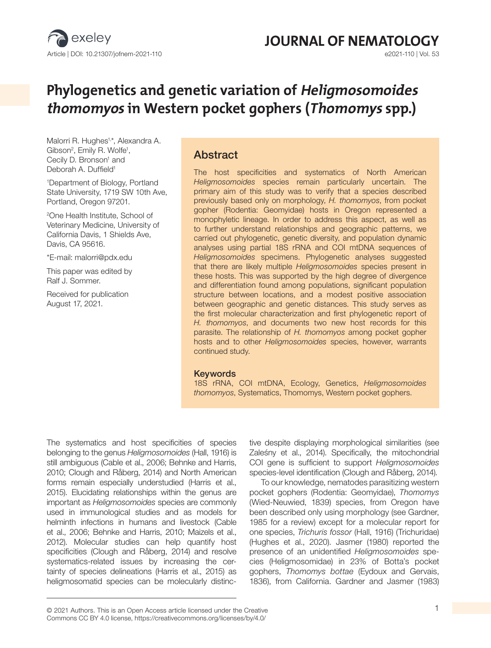

# **JOURNAL OF NEMATOLOGY**<br>e2021-110 | Vol. 53

## **Phylogenetics and genetic variation of Heligmosomoides thomomyos in Western pocket gophers (Thomomys spp.)**

Malorri R. Hughes1, \*, Alexandra A. Gibson<sup>2</sup>, Emily R. Wolfe<sup>1</sup>, Cecily D. Bronson<sup>1</sup> and Deborah A. Duffield<sup>1</sup>

1 Department of Biology, Portland State University, 1719 SW 10th Ave, Portland, Oregon 97201.

2 One Health Institute, School of Veterinary Medicine, University of California Davis, 1 Shields Ave, Davis, CA 95616.

\*E-mail: malorri@pdx.edu

This paper was edited by Ralf J. Sommer.

Received for publication August 17, 2021.

## Abstract

The host specificities and systematics of North American *Heligmosomoides* species remain particularly uncertain. The primary aim of this study was to verify that a species described previously based only on morphology, *H. thomomyos*, from pocket gopher (Rodentia: Geomyidae) hosts in Oregon represented a monophyletic lineage. In order to address this aspect, as well as to further understand relationships and geographic patterns, we carried out phylogenetic, genetic diversity, and population dynamic analyses using partial 18S rRNA and COI mtDNA sequences of *Heligmosomoides* specimens. Phylogenetic analyses suggested that there are likely multiple *Heligmosomoides* species present in these hosts. This was supported by the high degree of divergence and differentiation found among populations, significant population structure between locations, and a modest positive association between geographic and genetic distances. This study serves as the first molecular characterization and first phylogenetic report of *H. thomomyos*, and documents two new host records for this parasite. The relationship of *H. thomomyos* among pocket gopher hosts and to other *Heligmosomoides* species, however, warrants continued study.

#### Keywords

18S rRNA, COI mtDNA, Ecology, Genetics, *Heligmosomoides thomomyos*, Systematics, Thomomys, Western pocket gophers.

The systematics and host specificities of species belonging to the genus *Heligmosomoides* (Hall, 1916) is still ambiguous (Cable et al., 2006; Behnke and Harris, 2010; Clough and Råberg, 2014) and North American forms remain especially understudied (Harris et al., 2015). Elucidating relationships within the genus are important as *Heligmosomoides* species are commonly used in immunological studies and as models for helminth infections in humans and livestock (Cable et al., 2006; Behnke and Harris, 2010; Maizels et al., 2012). Molecular studies can help quantify host specificities (Clough and Råberg, 2014) and resolve systematics-related issues by increasing the certainty of species delineations (Harris et al., 2015) as heligmosomatid species can be molecularly distinctive despite displaying morphological similarities (see Zaleśny et al., 2014). Specifically, the mitochondrial COI gene is sufficient to support *Heligmosomoides* species-level identification (Clough and Råberg, 2014).

To our knowledge, nematodes parasitizing western pocket gophers (Rodentia: Geomyidae), *Thomomys* (Wied-Neuwied, 1839) species, from Oregon have been described only using morphology (see Gardner, 1985 for a review) except for a molecular report for one species, *Trichuris fossor* (Hall, 1916) (Trichuridae) (Hughes et al., 2020). Jasmer (1980) reported the presence of an unidentified *Heligmosomoides* species (Heligmosomidae) in 23% of Botta's pocket gophers, *Thomomys bottae* (Eydoux and Gervais, 1836), from California. Gardner and Jasmer (1983)

<sup>© 2021</sup> Authors. This is an Open Access article licensed under the Creative 1 Commons CC BY 4.0 license, https://creativecommons.org/licenses/by/4.0/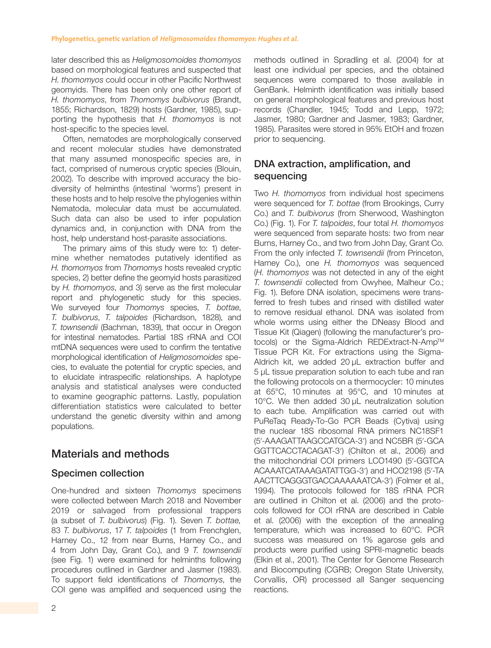later described this as *Heligmosomoides thomomyos* based on morphological features and suspected that *H. thomomyos* could occur in other Pacific Northwest geomyids. There has been only one other report of *H. thomomyos*, from *Thomomys bulbivorus* (Brandt, 1855; Richardson, 1829) hosts (Gardner, 1985), supporting the hypothesis that *H. thomomyos* is not host-specific to the species level.

Often, nematodes are morphologically conserved and recent molecular studies have demonstrated that many assumed monospecific species are, in fact, comprised of numerous cryptic species (Blouin, 2002). To describe with improved accuracy the biodiversity of helminths (intestinal 'worms') present in these hosts and to help resolve the phylogenies within Nematoda, molecular data must be accumulated. Such data can also be used to infer population dynamics and, in conjunction with DNA from the host, help understand host-parasite associations.

The primary aims of this study were to: 1) determine whether nematodes putatively identified as *H. thomomyos* from *Thomomys* hosts revealed cryptic species, 2) better define the geomyid hosts parasitized by *H. thomomyos*, and 3) serve as the first molecular report and phylogenetic study for this species. We surveyed four *Thomomys* species, *T. bottae*, *T. bulbivorus*, *T. talpoides* (Richardson, 1828), and *T. townsendii* (Bachman, 1839), that occur in Oregon for intestinal nematodes. Partial 18S rRNA and COI mtDNA sequences were used to confirm the tentative morphological identification of *Heligmosomoides* species, to evaluate the potential for cryptic species, and to elucidate intraspecific relationships. A haplotype analysis and statistical analyses were conducted to examine geographic patterns. Lastly, population differentiation statistics were calculated to better understand the genetic diversity within and among populations.

## Materials and methods

## Specimen collection

One-hundred and sixteen *Thomomys* specimens were collected between March 2018 and November 2019 or salvaged from professional trappers (a subset of *T*. *bulbivorus*) (Fig. 1). Seven *T. bottae,* 83 *T. bulbivorus*, 17 *T. talpoides* (1 from Frenchglen, Harney Co., 12 from near Burns, Harney Co., and 4 from John Day, Grant Co.), and 9 *T. townsendii* (see Fig. 1) were examined for helminths following procedures outlined in Gardner and Jasmer (1983). To support field identifications of *Thomomys*, the COI gene was amplified and sequenced using the methods outlined in Spradling et al. (2004) for at least one individual per species, and the obtained sequences were compared to those available in GenBank. Helminth identification was initially based on general morphological features and previous host records (Chandler, 1945; Todd and Lepp, 1972; Jasmer, 1980; Gardner and Jasmer, 1983; Gardner, 1985). Parasites were stored in 95% EtOH and frozen prior to sequencing.

## DNA extraction, amplification, and sequencing

Two *H. thomomyos* from individual host specimens were sequenced for *T. bottae* (from Brookings, Curry Co.) and *T. bulbivorus* (from Sherwood, Washington Co.) (Fig. 1). For *T. talpoides*, four total *H. thomomyos* were sequenced from separate hosts: two from near Burns, Harney Co., and two from John Day, Grant Co. From the only infected *T. townsendii* (from Princeton, Harney Co.), one *H. thomomyos* was sequenced (*H. thomomyos* was not detected in any of the eight *T. townsendii* collected from Owyhee, Malheur Co.; Fig. 1). Before DNA isolation, specimens were transferred to fresh tubes and rinsed with distilled water to remove residual ethanol. DNA was isolated from whole worms using either the DNeasy Blood and Tissue Kit (Qiagen) (following the manufacturer's protocols) or the Sigma-Aldrich REDExtract-N-Amp™ Tissue PCR Kit. For extractions using the Sigma-Aldrich kit, we added 20 µL extraction buffer and 5 µL tissue preparation solution to each tube and ran the following protocols on a thermocycler: 10 minutes at 65°C, 10 minutes at 95°C, and 10 minutes at 10°C. We then added 30 µL neutralization solution to each tube. Amplification was carried out with PuReTaq Ready-To-Go PCR Beads (Cytiva) using the nuclear 18S ribosomal RNA primers NC18SF1 (5′-AAAGATTAAGCCATGCA-3′) and NC5BR (5′-GCA GGTTCACCTACAGAT-3′) (Chilton et al., 2006) and the mitochondrial COI primers LCO1490 (5′-GGTCA ACAAATCATAAAGATATTGG-3′) and HCO2198 (5′-TA AACTTCAGGGTGACCAAAAAATCA-3′) (Folmer et al., 1994). The protocols followed for 18S rRNA PCR are outlined in Chilton et al. (2006) and the protocols followed for COI rRNA are described in Cable et al. (2006) with the exception of the annealing temperature, which was increased to 60°C. PCR success was measured on 1% agarose gels and products were purified using SPRI-magnetic beads (Elkin et al., 2001). The Center for Genome Research and Biocomputing (CGRB; Oregon State University, Corvallis, OR) processed all Sanger sequencing reactions.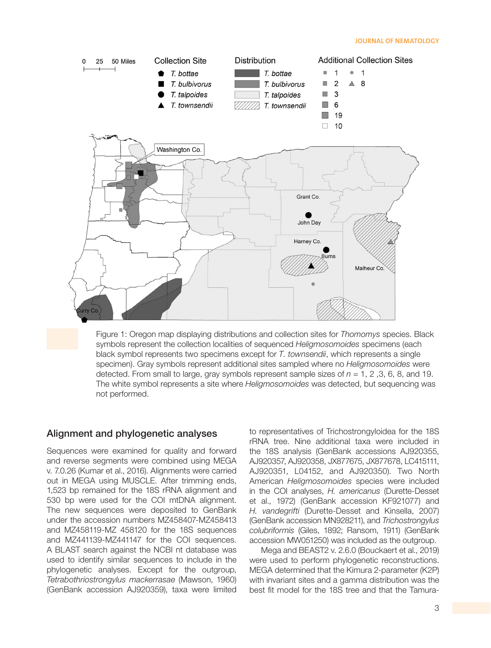#### **JOURNAL OF NEMATOLOGY**



Figure 1: Oregon map displaying distributions and collection sites for *Thomomys* species. Black symbols represent the collection localities of sequenced *Heligmosomoides* specimens (each black symbol represents two specimens except for *T. townsendii*, which represents a single specimen). Gray symbols represent additional sites sampled where no *Heligmosomoides* were detected. From small to large, gray symbols represent sample sizes of *n* = 1, 2 ,3, 6, 8, and 19. The white symbol represents a site where *Heligmosomoides* was detected, but sequencing was not performed.

#### Alignment and phylogenetic analyses

Sequences were examined for quality and forward and reverse segments were combined using MEGA v. 7.0.26 (Kumar et al., 2016). Alignments were carried out in MEGA using MUSCLE. After trimming ends, 1,523 bp remained for the 18S rRNA alignment and 530 bp were used for the COI mtDNA alignment. The new sequences were deposited to GenBank under the accession numbers MZ458407-MZ458413 and MZ458119-MZ 458120 for the 18S sequences and MZ441139-MZ441147 for the COI sequences. A BLAST search against the NCBI nt database was used to identify similar sequences to include in the phylogenetic analyses. Except for the outgroup, *Tetrabothriostrongylus mackerrasae* (Mawson, 1960) (GenBank accession AJ920359), taxa were limited

to representatives of Trichostrongyloidea for the 18S rRNA tree. Nine additional taxa were included in the 18S analysis (GenBank accessions AJ920355, AJ920357, AJ920358, JX877675, JX877678, LC415111, AJ920351, L04152, and AJ920350). Two North American *Heligmosomoides* species were included in the COI analyses, *H. americanus* (Durette-Desset et al., 1972) (GenBank accession KF921077) and *H. vandegrifti* (Durette-Desset and Kinsella, 2007) (GenBank accession MN928211), and *Trichostrongylus colubriformis* (Giles, 1892; Ransom, 1911) (GenBank accession MW051250) was included as the outgroup.

Mega and BEAST2 v. 2.6.0 (Bouckaert et al., 2019) were used to perform phylogenetic reconstructions. MEGA determined that the Kimura 2-parameter (K2P) with invariant sites and a gamma distribution was the best fit model for the 18S tree and that the Tamura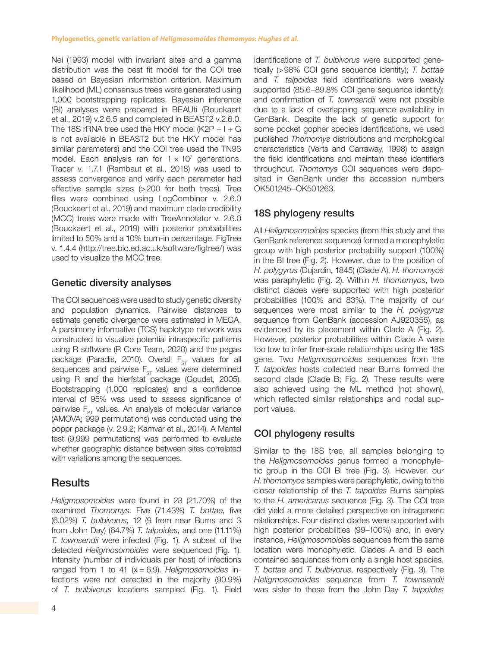Nei (1993) model with invariant sites and a gamma distribution was the best fit model for the COI tree based on Bayesian information criterion. Maximum likelihood (ML) consensus trees were generated using 1,000 bootstrapping replicates. Bayesian inference (BI) analyses were prepared in BEAUti (Bouckaert et al., 2019) v.2.6.5 and completed in BEAST2 v.2.6.0. The 18S rRNA tree used the HKY model (K2P  $+1+G$ is not available in BEAST2 but the HKY model has similar parameters) and the COI tree used the TN93 model. Each analysis ran for  $1 \times 10^7$  generations. Tracer v. 1.7.1 (Rambaut et al., 2018) was used to assess convergence and verify each parameter had effective sample sizes (>200 for both trees). Tree files were combined using LogCombiner v. 2.6.0 (Bouckaert et al., 2019) and maximum clade credibility (MCC) trees were made with TreeAnnotator v. 2.6.0 (Bouckaert et al., 2019) with posterior probabilities limited to 50% and a 10% burn-in percentage. FigTree v. 1.4.4 (http://tree.bio.ed.ac.uk/software/figtree/) was used to visualize the MCC tree.

### Genetic diversity analyses

The COI sequences were used to study genetic diversity and population dynamics. Pairwise distances to estimate genetic divergence were estimated in MEGA. A parsimony informative (TCS) haplotype network was constructed to visualize potential intraspecific patterns using R software (R Core Team, 2020) and the pegas package (Paradis, 2010). Overall  $F_{ST}$  values for all sequences and pairwise  $F_{ST}$  values were determined using R and the hierfstat package (Goudet, 2005). Bootstrapping (1,000 replicates) and a confidence interval of 95% was used to assess significance of pairwise  $F_{ST}$  values. An analysis of molecular variance (AMOVA; 999 permutations) was conducted using the poppr package (v. 2.9.2; Kamvar et al., 2014). A Mantel test (9,999 permutations) was performed to evaluate whether geographic distance between sites correlated with variations among the sequences.

## **Results**

*Heligmosomoides* were found in 23 (21.70%) of the examined *Thomomys*. Five (71.43%) *T. bottae*, five (6.02%) *T. bulbivorus*, 12 (9 from near Burns and 3 from John Day) (64.7%) *T. talpoides*, and one (11.11%) *T. townsendii* were infected (Fig. 1). A subset of the detected *Heligmosomoides* were sequenced (Fig. 1). Intensity (number of individuals per host) of infections ranged from 1 to 41  $(\bar{x} = 6.9)$ . *Heligmosomoides* infections were not detected in the majority (90.9%) of *T. bulbivorus* locations sampled (Fig. 1). Field identifications of *T. bulbivorus* were supported genetically (>98% COI gene sequence identity); *T. bottae* and *T. talpoides* field identifications were weakly supported (85.6–89.8% COI gene sequence identity); and confirmation of *T. townsendii* were not possible due to a lack of overlapping sequence availability in GenBank. Despite the lack of genetic support for some pocket gopher species identifications, we used published *Thomomys* distributions and morphological characteristics (Verts and Carraway, 1998) to assign the field identifications and maintain these identifiers throughout. *Thomomys* COI sequences were deposited in GenBank under the accession numbers OK501245–OK501263.

### 18S phylogeny results

All *Heligmosomoides* species (from this study and the GenBank reference sequence) formed a monophyletic group with high posterior probability support (100%) in the BI tree (Fig. 2). However, due to the position of *H. polygyrus* (Dujardin, 1845) (Clade A), *H. thomomyos* was paraphyletic (Fig. 2). Within *H. thomomyos*, two distinct clades were supported with high posterior probabilities (100% and 83%). The majority of our sequences were most similar to the *H. polygyrus* sequence from GenBank (accession AJ920355), as evidenced by its placement within Clade A (Fig. 2). However, posterior probabilities within Clade A were too low to infer finer-scale relationships using the 18S gene. Two *Heligmosomoides* sequences from the *T. talpoides* hosts collected near Burns formed the second clade (Clade B; Fig. 2). These results were also achieved using the ML method (not shown), which reflected similar relationships and nodal support values.

## COI phylogeny results

Similar to the 18S tree, all samples belonging to the *Heligmosomoides* genus formed a monophyletic group in the COI BI tree (Fig. 3). However, our *H. thomomyos* samples were paraphyletic, owing to the closer relationship of the *T. talpoides* Burns samples to the *H. americanus* sequence (Fig. 3). The COI tree did yield a more detailed perspective on intrageneric relationships. Four distinct clades were supported with high posterior probabilities (99–100%) and, in every instance, *Heligmosomoides* sequences from the same location were monophyletic. Clades A and B each contained sequences from only a single host species, *T. bottae* and *T. bulbivorus*, respectively (Fig. 3). The *Heligmosomoides* sequence from *T. townsendii* was sister to those from the John Day *T. talpoides*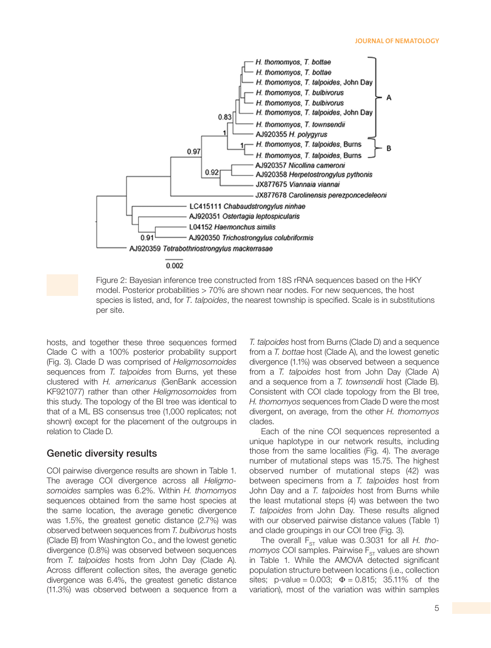#### **JOURNAL OF NEMATOLOGY**



0.002

Figure 2: Bayesian inference tree constructed from 18S rRNA sequences based on the HKY model. Posterior probabilities > 70% are shown near nodes. For new sequences, the host species is listed, and, for *T. talpoides*, the nearest township is specified. Scale is in substitutions per site.

hosts, and together these three sequences formed Clade C with a 100% posterior probability support (Fig. 3). Clade D was comprised of *Heligmosomoides* sequences from *T. talpoides* from Burns, yet these clustered with *H. americanus* (GenBank accession KF921077) rather than other *Heligmosomoides* from this study. The topology of the BI tree was identical to that of a ML BS consensus tree (1,000 replicates; not shown) except for the placement of the outgroups in relation to Clade D.

#### Genetic diversity results

COI pairwise divergence results are shown in Table 1. The average COI divergence across all *Heligmosomoides* samples was 6.2%. Within *H. thomomyos* sequences obtained from the same host species at the same location, the average genetic divergence was 1.5%, the greatest genetic distance (2.7%) was observed between sequences from *T. bulbivorus* hosts (Clade B) from Washington Co., and the lowest genetic divergence (0.8%) was observed between sequences from *T. talpoides* hosts from John Day (Clade A). Across different collection sites, the average genetic divergence was 6.4%, the greatest genetic distance (11.3%) was observed between a sequence from a *T. talpoides* host from Burns (Clade D) and a sequence from a *T. bottae* host (Clade A), and the lowest genetic divergence (1.1%) was observed between a sequence from a *T. talpoides* host from John Day (Clade A) and a sequence from a *T. townsendii* host (Clade B). Consistent with COI clade topology from the BI tree, *H. thomomyos* sequences from Clade D were the most divergent, on average, from the other *H. thomomyos* clades.

Each of the nine COI sequences represented a unique haplotype in our network results, including those from the same localities (Fig. 4). The average number of mutational steps was 15.75. The highest observed number of mutational steps (42) was between specimens from a *T. talpoides* host from John Day and a *T. talpoides* host from Burns while the least mutational steps (4) was between the two *T. talpoides* from John Day. These results aligned with our observed pairwise distance values (Table 1) and clade groupings in our COI tree (Fig. 3).

The overall  $F_{ST}$  value was 0.3031 for all *H. thomomyos* COI samples. Pairwise F<sub>ST</sub> values are shown in Table 1. While the AMOVA detected significant population structure between locations (i.e., collection sites; p-value =  $0.003$ ;  $\Phi = 0.815$ ; 35.11% of the variation), most of the variation was within samples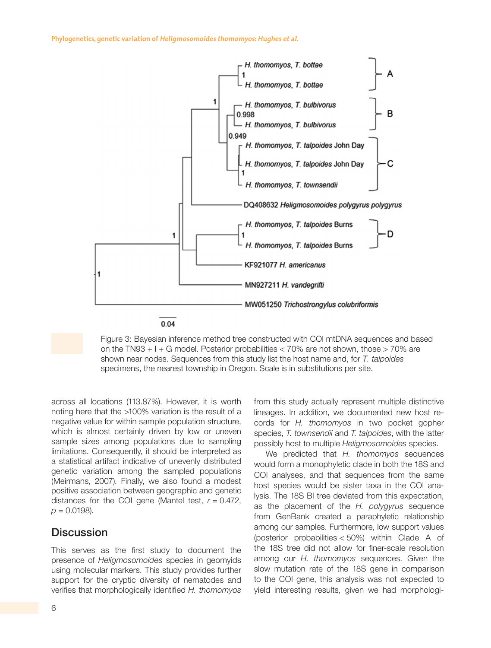**Phylogenetics, genetic variation of Heligmosomoides thomomyos: Hughes et al.**



Figure 3: Bayesian inference method tree constructed with COI mtDNA sequences and based on the TN93  $+1 +$  G model. Posterior probabilities  $<$  70% are not shown, those  $>$  70% are shown near nodes. Sequences from this study list the host name and, for *T. talpoides* specimens, the nearest township in Oregon. Scale is in substitutions per site.

across all locations (113.87%). However, it is worth noting here that the >100% variation is the result of a negative value for within sample population structure, which is almost certainly driven by low or uneven sample sizes among populations due to sampling limitations. Consequently, it should be interpreted as a statistical artifact indicative of unevenly distributed genetic variation among the sampled populations (Meirmans, 2007). Finally, we also found a modest positive association between geographic and genetic distances for the COI gene (Mantel test, *r* = 0.472,  $p = 0.0198$ ).

## **Discussion**

This serves as the first study to document the presence of *Heligmosomoides* species in geomyids using molecular markers. This study provides further support for the cryptic diversity of nematodes and verifies that morphologically identified *H. thomomyos* from this study actually represent multiple distinctive lineages. In addition, we documented new host records for *H. thomomyos* in two pocket gopher species, *T. townsendii* and *T. talpoides*, with the latter possibly host to multiple *Heligmosomoides* species.

We predicted that *H. thomomyos* sequences would form a monophyletic clade in both the 18S and COI analyses, and that sequences from the same host species would be sister taxa in the COI analysis. The 18S BI tree deviated from this expectation, as the placement of the *H. polygyrus* sequence from GenBank created a paraphyletic relationship among our samples. Furthermore, low support values (posterior probabilities < 50%) within Clade A of the 18S tree did not allow for finer-scale resolution among our *H. thomomyos* sequences. Given the slow mutation rate of the 18S gene in comparison to the COI gene, this analysis was not expected to yield interesting results, given we had morphologi-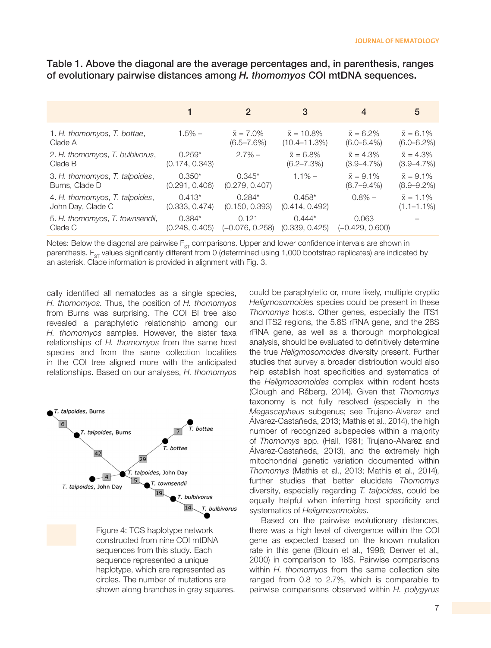|                                 |                | 2                 | 3                  | 4                 | 5                 |
|---------------------------------|----------------|-------------------|--------------------|-------------------|-------------------|
| 1. H. thomomyos, T. bottae,     | $1.5\% -$      | $\bar{x} = 7.0\%$ | $\bar{x} = 10.8\%$ | $\bar{x} = 6.2\%$ | $\bar{x} = 6.1\%$ |
| Clade A                         |                | $(6.5 - 7.6\%)$   | $(10.4 - 11.3%)$   | $(6.0 - 6.4\%)$   | $(6.0 - 6.2\%)$   |
| 2. H. thomomyos, T. bulbivorus, | $0.259*$       | $2.7\%$ –         | $\bar{x} = 6.8\%$  | $\bar{x} = 4.3\%$ | $\bar{x} = 4.3\%$ |
| Clade B                         | (0.174, 0.343) |                   | $(6.2 - 7.3\%)$    | $(3.9 - 4.7\%)$   | $(3.9 - 4.7\%)$   |
| 3. H. thomomyos, T. talpoides,  | $0.350*$       | $0.345*$          | $1.1\% -$          | $\bar{x} = 9.1\%$ | $\bar{x} = 9.1\%$ |
| Burns, Clade D                  | (0.291, 0.406) | (0.279, 0.407)    |                    | $(8.7 - 9.4\%)$   | $(8.9 - 9.2\%)$   |
| 4. H. thomomyos, T. talpoides,  | $0.413*$       | $0.284*$          | $0.458*$           | $0.8\%$ -         | $\bar{x} = 1.1\%$ |
| John Day, Clade C               | (0.333, 0.474) | (0.150, 0.393)    | (0.414, 0.492)     |                   | $(1.1 - 1.1\%)$   |
| 5. H. thomomyos, T. townsendii, | $0.384*$       | 0.121             | $0.444*$           | 0.063             |                   |
| Clade C                         | (0.248, 0.405) | (-0.076, 0.258)   | (0.339, 0.425)     | (-0.429, 0.600)   |                   |

Table 1. Above the diagonal are the average percentages and, in parenthesis, ranges of evolutionary pairwise distances among *H. thomomyos* COI mtDNA sequences.

Notes: Below the diagonal are pairwise  $F_{ST}$  comparisons. Upper and lower confidence intervals are shown in parenthesis.  $F_{ST}$  values significantly different from 0 (determined using 1,000 bootstrap replicates) are indicated by an asterisk. Clade information is provided in alignment with Fig. 3.

cally identified all nematodes as a single species, *H. thomomyos*. Thus, the position of *H. thomomyos* from Burns was surprising. The COI BI tree also revealed a paraphyletic relationship among our *H. thomomyos* samples. However, the sister taxa relationships of *H. thomomyos* from the same host species and from the same collection localities in the COI tree aligned more with the anticipated relationships. Based on our analyses, *H. thomomyos*



Figure 4: TCS haplotype network constructed from nine COI mtDNA sequences from this study. Each sequence represented a unique haplotype, which are represented as circles. The number of mutations are shown along branches in gray squares. could be paraphyletic or, more likely, multiple cryptic *Heligmosomoides* species could be present in these *Thomomys* hosts. Other genes, especially the ITS1 and ITS2 regions, the 5.8S rRNA gene, and the 28S rRNA gene, as well as a thorough morphological analysis, should be evaluated to definitively determine the true *Heligmosomoides* diversity present. Further studies that survey a broader distribution would also help establish host specificities and systematics of the *Heligmosomoides* complex within rodent hosts (Clough and Råberg, 2014). Given that *Thomomys* taxonomy is not fully resolved (especially in the *Megascapheus* subgenus; see Trujano-Alvarez and Álvarez-Castañeda, 2013; Mathis et al., 2014), the high number of recognized subspecies within a majority of *Thomomys* spp. (Hall, 1981; Trujano-Alvarez and Álvarez-Castañeda, 2013), and the extremely high mitochondrial genetic variation documented within *Thomomys* (Mathis et al., 2013; Mathis et al., 2014), further studies that better elucidate *Thomomys* diversity, especially regarding *T. talpoides*, could be equally helpful when inferring host specificity and systematics of *Heligmosomoides.*

Based on the pairwise evolutionary distances, there was a high level of divergence within the COI gene as expected based on the known mutation rate in this gene (Blouin et al., 1998; Denver et al., 2000) in comparison to 18S. Pairwise comparisons within *H. thomomyos* from the same collection site ranged from 0.8 to 2.7%, which is comparable to pairwise comparisons observed within *H. polygyrus*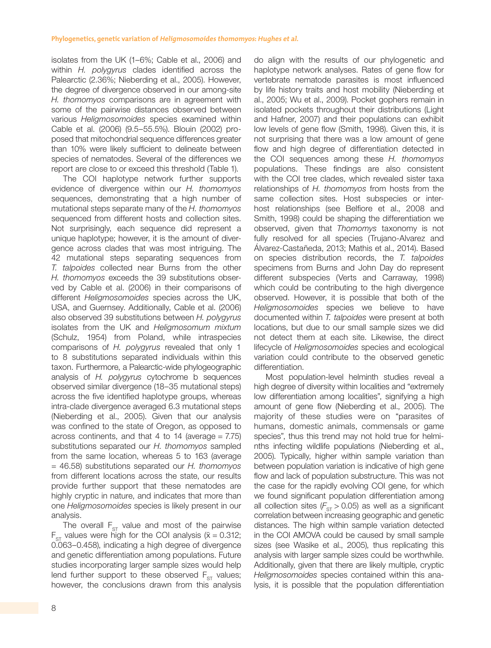isolates from the UK (1–6%; Cable et al., 2006) and within *H. polygyrus* clades identified across the Palearctic (2.36%; Nieberding et al., 2005). However, the degree of divergence observed in our among-site *H. thomomyos* comparisons are in agreement with some of the pairwise distances observed between various *Heligmosomoides* species examined within Cable et al. (2006) (9.5–55.5%). Blouin (2002) proposed that mitochondrial sequence differences greater than 10% were likely sufficient to delineate between species of nematodes. Several of the differences we report are close to or exceed this threshold (Table 1).

The COI haplotype network further supports evidence of divergence within our *H. thomomyos* sequences, demonstrating that a high number of mutational steps separate many of the *H. thomomyos* sequenced from different hosts and collection sites. Not surprisingly, each sequence did represent a unique haplotype; however, it is the amount of divergence across clades that was most intriguing. The 42 mutational steps separating sequences from *T. talpoides* collected near Burns from the other *H. thomomyos* exceeds the 39 substitutions observed by Cable et al. (2006) in their comparisons of different *Heligmosomoides* species across the UK, USA, and Guernsey. Additionally, Cable et al. (2006) also observed 39 substitutions between *H. polygyrus* isolates from the UK and *Heligmosomum mixtum* (Schulz, 1954) from Poland, while intraspecies comparisons of *H. polygyrus* revealed that only 1 to 8 substitutions separated individuals within this taxon. Furthermore, a Palearctic-wide phylogeographic analysis of *H. polygyrus* cytochrome b sequences observed similar divergence (18–35 mutational steps) across the five identified haplotype groups, whereas intra-clade divergence averaged 6.3 mutational steps (Nieberding et al., 2005). Given that our analysis was confined to the state of Oregon, as opposed to across continents, and that 4 to 14 (average  $= 7.75$ ) substitutions separated our *H. thomomyos* sampled from the same location, whereas 5 to 163 (average = 46.58) substitutions separated our *H. thomomyos* from different locations across the state, our results provide further support that these nematodes are highly cryptic in nature, and indicates that more than one *Heligmosomoides* species is likely present in our analysis.

The overall  $F_{ST}$  value and most of the pairwise  $F_{ST}$  values were high for the COI analysis ( $\bar{x} = 0.312$ ; 0.063–0.458), indicating a high degree of divergence and genetic differentiation among populations. Future studies incorporating larger sample sizes would help lend further support to these observed  $F_{ST}$  values; however, the conclusions drawn from this analysis

do align with the results of our phylogenetic and haplotype network analyses. Rates of gene flow for vertebrate nematode parasites is most influenced by life history traits and host mobility (Nieberding et al., 2005; Wu et al., 2009). Pocket gophers remain in isolated pockets throughout their distributions (Light and Hafner, 2007) and their populations can exhibit low levels of gene flow (Smith, 1998). Given this, it is not surprising that there was a low amount of gene flow and high degree of differentiation detected in the COI sequences among these *H. thomomyos* populations. These findings are also consistent with the COI tree clades, which revealed sister taxa relationships of *H. thomomyos* from hosts from the same collection sites. Host subspecies or interhost relationships (see Belfiore et al., 2008 and Smith, 1998) could be shaping the differentiation we observed, given that *Thomomys* taxonomy is not fully resolved for all species (Trujano-Alvarez and Álvarez-Castañeda, 2013; Mathis et al., 2014). Based on species distribution records, the *T. talpoides* specimens from Burns and John Day do represent different subspecies (Verts and Carraway, 1998) which could be contributing to the high divergence observed. However, it is possible that both of the *Heligmosomoides* species we believe to have documented within *T. talpoides* were present at both locations, but due to our small sample sizes we did not detect them at each site. Likewise, the direct lifecycle of *Heligmosomoides* species and ecological variation could contribute to the observed genetic differentiation.

Most population-level helminth studies reveal a high degree of diversity within localities and "extremely low differentiation among localities", signifying a high amount of gene flow (Nieberding et al., 2005). The majority of these studies were on "parasites of humans, domestic animals, commensals or game species", thus this trend may not hold true for helminths infecting wildlife populations (Nieberding et al., 2005). Typically, higher within sample variation than between population variation is indicative of high gene flow and lack of population substructure. This was not the case for the rapidly evolving COI gene, for which we found significant population differentiation among all collection sites  $(F_{ST} > 0.05)$  as well as a significant correlation between increasing geographic and genetic distances. The high within sample variation detected in the COI AMOVA could be caused by small sample sizes (see Wasike et al., 2005), thus replicating this analysis with larger sample sizes could be worthwhile. Additionally, given that there are likely multiple, cryptic *Heligmosomoides* species contained within this analysis, it is possible that the population differentiation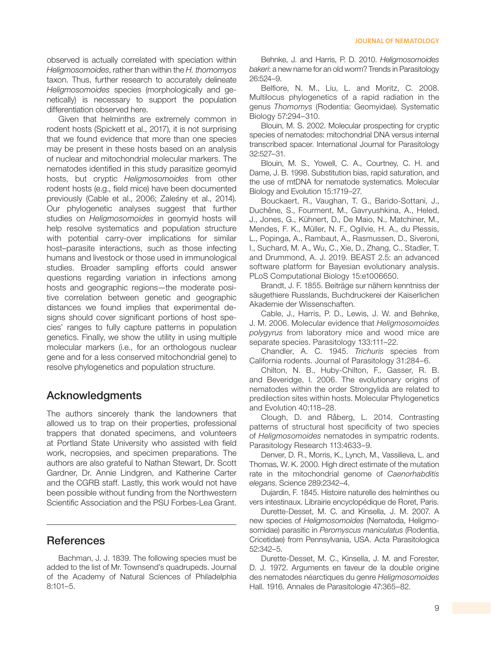observed is actually correlated with speciation within *Heligmosomoides*, rather than within the *H. thomomyos* taxon. Thus, further research to accurately delineate *Heligmosomoides* species (morphologically and genetically) is necessary to support the population differentiation observed here.

Given that helminths are extremely common in rodent hosts (Spickett et al., 2017), it is not surprising that we found evidence that more than one species may be present in these hosts based on an analysis of nuclear and mitochondrial molecular markers. The nematodes identified in this study parasitize geomyid hosts, but cryptic *Heligmosomoides* from other rodent hosts (e.g., field mice) have been documented previously (Cable et al., 2006; Zaleśny et al., 2014). Our phylogenetic analyses suggest that further studies on *Heligmosomoides* in geomyid hosts will help resolve systematics and population structure with potential carry-over implications for similar host–parasite interactions, such as those infecting humans and livestock or those used in immunological studies. Broader sampling efforts could answer questions regarding variation in infections among hosts and geographic regions—the moderate positive correlation between genetic and geographic distances we found implies that experimental designs should cover significant portions of host species' ranges to fully capture patterns in population genetics. Finally, we show the utility in using multiple molecular markers (i.e., for an orthologous nuclear gene and for a less conserved mitochondrial gene) to resolve phylogenetics and population structure.

## Acknowledgments

The authors sincerely thank the landowners that allowed us to trap on their properties, professional trappers that donated specimens, and volunteers at Portland State University who assisted with field work, necropsies, and specimen preparations. The authors are also grateful to Nathan Stewart, Dr. Scott Gardner, Dr. Annie Lindgren, and Katherine Carter and the CGRB staff. Lastly, this work would not have been possible without funding from the Northwestern Scientific Association and the PSU Forbes-Lea Grant.

## **References**

Bachman, J. J. 1839. The following species must be added to the list of Mr. Townsend's quadrupeds. Journal of the Academy of Natural Sciences of Philadelphia 8:101–5.

Behnke, J. and Harris, P. D. 2010. *Heligmosomoides bakeri*: a new name for an old worm? Trends in Parasitology 26:524–9.

Belfiore, N. M., Liu, L. and Moritz, C. 2008. Multilocus phylogenetics of a rapid radiation in the genus *Thomomys* (Rodentia: Geomyidae). Systematic Biology 57:294–310.

Blouin, M. S. 2002. Molecular prospecting for cryptic species of nematodes: mitochondrial DNA versus internal transcribed spacer. International Journal for Parasitology 32:527–31.

Blouin, M. S., Yowell, C. A., Courtney, C. H. and Dame, J. B. 1998. Substitution bias, rapid saturation, and the use of mtDNA for nematode systematics. Molecular Biology and Evolution 15:1719–27.

Bouckaert, R., Vaughan, T. G., Barido-Sottani, J., Duchêne, S., Fourment, M., Gavryushkina, A., Heled, J., Jones, G., Kühnert, D., De Maio, N., Matchiner, M., Mendes, F. K., Müller, N. F., Ogilvie, H. A., du Plessis, L., Popinga, A., Rambaut, A., Rasmussen, D., Siveroni, I., Suchard, M. A., Wu, C., Xie, D., Zhang, C., Stadler, T. and Drummond, A. J. 2019. BEAST 2.5: an advanced software platform for Bayesian evolutionary analysis. PLoS Computational Biology 15:e1006650.

Brandt, J. F. 1855. Beiträge sur nähern kenntniss der säugethiere Russlands, Buchdruckerei der Kaiserlichen Akademie der Wissenschaften.

Cable, J., Harris, P. D., Lewis, J. W. and Behnke, J. M. 2006. Molecular evidence that *Heligmosomoides polygyrus* from laboratory mice and wood mice are separate species. Parasitology 133:111–22.

Chandler, A. C. 1945. *Trichuris* species from California rodents. Journal of Parasitology 31:284–6.

Chilton, N. B., Huby-Chilton, F., Gasser, R. B. and Beveridge, I. 2006. The evolutionary origins of nematodes within the order Strongylida are related to predilection sites within hosts. Molecular Phylogenetics and Evolution 40:118–28.

Clough, D. and Råberg, L. 2014. Contrasting patterns of structural host specificity of two species of *Heligmosomoides* nematodes in sympatric rodents. Parasitology Research 113:4633–9.

Denver, D. R., Morris, K., Lynch, M., Vassilieva, L. and Thomas, W. K. 2000. High direct estimate of the mutation rate in the mitochondrial genome of *Caenorhabditis elegans*. Science 289:2342–4.

Dujardin, F. 1845. Histoire naturelle des helminthes ou vers intestinaux. Librairie encyclopédique de Roret, Paris.

Durette-Desset, M. C. and Kinsella, J. M. 2007. A new species of *Heligmosomoides* (Nematoda, Heligmosomidae) parasitic in *Peromyscus maniculatus* (Rodentia, Cricetidae) from Pennsylvania, USA. Acta Parasitologica 52:342–5.

Durette-Desset, M. C., Kinsella, J. M. and Forester, D. J. 1972. Arguments en faveur de la double origine des nematodes néarctiques du genre *Heligmosomoides* Hall. 1916. Annales de Parasitologie 47:365–82.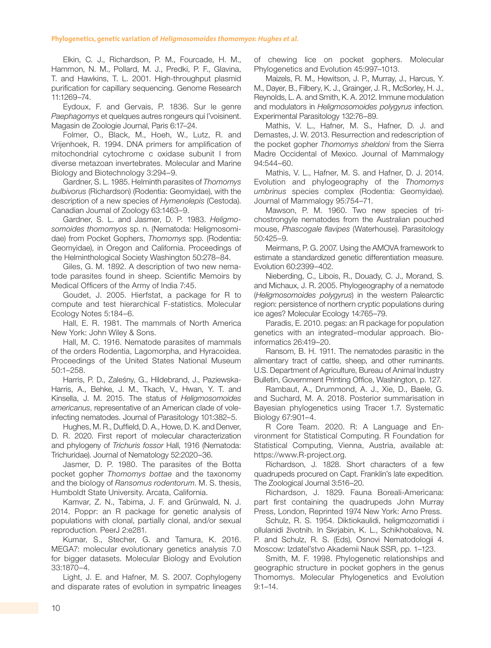Elkin, C. J., Richardson, P. M., Fourcade, H. M., Hammon, N. M., Pollard, M. J., Predki, P. F., Glavina, T. and Hawkins, T. L. 2001. High-throughput plasmid purification for capillary sequencing. Genome Research 11:1269–74.

Eydoux, F. and Gervais, P. 1836. Sur le genre *Paephagomys* et quelques autres rongeurs qui l'voisinent. Magasin de Zoologie Journal, Paris 6:17–24.

Folmer, O., Black, M., Hoeh, W., Lutz, R. and Vrijenhoek, R. 1994. DNA primers for amplification of mitochondrial cytochrome c oxidase subunit I from diverse metazoan invertebrates. Molecular and Marine Biology and Biotechnology 3:294–9.

Gardner, S. L. 1985. Helminth parasites of *Thomomys bulbivorus* (Richardson) (Rodentia: Geomyidae), with the description of a new species of *Hymenolepis* (Cestoda). Canadian Journal of Zoology 63:1463–9.

Gardner, S. L. and Jasmer, D. P. 1983. *Heligmosomoides thomomyos* sp. n. (Nematoda: Heligmosomidae) from Pocket Gophers, *Thomomys* spp. (Rodentia: Geomyidae), in Oregon and California. Proceedings of the Helminthological Society Washington 50:278–84.

Giles, G. M. 1892. A description of two new nematode parasites found in sheep. Scientific Memoirs by Medical Officers of the Army of India 7:45.

Goudet, J. 2005. Hierfstat, a package for R to compute and test hierarchical F-statistics. Molecular Ecology Notes 5:184–6.

Hall, E. R. 1981. The mammals of North America New York: John Wiley & Sons.

Hall, M. C. 1916. Nematode parasites of mammals of the orders Rodentia, Lagomorpha, and Hyracoidea. Proceedings of the United States National Museum 50:1–258.

Harris, P. D., Zaleśny, G., Hildebrand, J., Paziewska-Harris, A., Behke, J. M., Tkach, V., Hwan, Y. T. and Kinsella, J. M. 2015. The status of *Heligmosomoides americanus*, representative of an American clade of voleinfecting nematodes. Journal of Parasitology 101:382–5.

Hughes, M. R., Duffield, D. A., Howe, D. K. and Denver, D. R. 2020. First report of molecular characterization and phylogeny of *Trichuris fossor* Hall, 1916 (Nematoda: Trichuridae). Journal of Nematology 52:2020–36.

Jasmer, D. P. 1980. The parasites of the Botta pocket gopher *Thomomys bottae* and the taxonomy and the biology of *Ransomus rodentorum*. M. S. thesis, Humboldt State University. Arcata, California.

Kamvar, Z. N., Tabima, J. F. and Grünwald, N. J. 2014. Poppr: an R package for genetic analysis of populations with clonal, partially clonal, and/or sexual reproduction. PeerJ 2:e281.

Kumar, S., Stecher, G. and Tamura, K. 2016. MEGA7: molecular evolutionary genetics analysis 7.0 for bigger datasets. Molecular Biology and Evolution 33:1870–4.

Light, J. E. and Hafner, M. S. 2007. Cophylogeny and disparate rates of evolution in sympatric lineages of chewing lice on pocket gophers. Molecular Phylogenetics and Evolution 45:997–1013.

Maizels, R. M., Hewitson, J. P., Murray, J., Harcus, Y. M., Dayer, B., Filbery, K. J., Grainger, J. R., McSorley, H. J., Reynolds, L. A. and Smith, K. A. 2012. Immune modulation and modulators in *Heligmosomoides polygyrus* infection. Experimental Parasitology 132:76–89.

Mathis, V. L., Hafner, M. S., Hafner, D. J. and Demastes, J. W. 2013. Resurrection and redescription of the pocket gopher *Thomomys sheldoni* from the Sierra Madre Occidental of Mexico. Journal of Mammalogy 94:544–60.

Mathis, V. L., Hafner, M. S. and Hafner, D. J. 2014. Evolution and phylogeography of the *Thomomys umbrinus* species complex (Rodentia: Geomyidae). Journal of Mammalogy 95:754–71.

Mawson, P. M. 1960. Two new species of trichostrongyle nematodes from the Australian pouched mouse, *Phascogale flavipes* (Waterhouse). Parasitology 50:425–9.

Meirmans, P. G. 2007. Using the AMOVA framework to estimate a standardized genetic differentiation measure. Evolution 60:2399–402.

Nieberding, C., Libois, R., Douady, C. J., Morand, S. and Michaux, J. R. 2005. Phylogeography of a nematode (*Heligmosomoides polygyrus*) in the western Palearctic region: persistence of northern cryptic populations during ice ages? Molecular Ecology 14:765–79.

Paradis, E. 2010. pegas: an R package for population genetics with an integrated–modular approach. Bioinformatics 26:419–20.

Ransom, B. H. 1911. The nematodes parasitic in the alimentary tract of cattle, sheep, and other ruminants. U.S. Department of Agriculture, Bureau of Animal Industry Bulletin, Government Printing Office, Washington, p. 127.

Rambaut, A., Drummond, A. J., Xie, D., Baele, G. and Suchard, M. A. 2018. Posterior summarisation in Bayesian phylogenetics using Tracer 1.7. Systematic Biology 67:901–4.

R Core Team. 2020. R: A Language and Environment for Statistical Computing. R Foundation for Statistical Computing, Vienna, Austria, available at: https://www.R-project.org.

Richardson, J. 1828. Short characters of a few quadrupeds procured on Capt. Franklin's late expedition. The Zoological Journal 3:516–20.

Richardson, J. 1829. Fauna Boreali-Americana: part first containing the quadrupeds John Murray Press, London, Reprinted 1974 New York: Arno Press.

Schulz, R. S. 1954. Diktiokaulidi, heligmozomatidi i ollulanidi životnih. In Skrjabin, K. L., Schikhobalova, N. P. and Schulz, R. S. (Eds), Osnovi Nematodologii 4. Moscow: Izdatel'stvo Akademii Nauk SSR, pp. 1–123.

Smith, M. F. 1998. Phylogenetic relationships and geographic structure in pocket gophers in the genus Thomomys. Molecular Phylogenetics and Evolution 9:1–14.